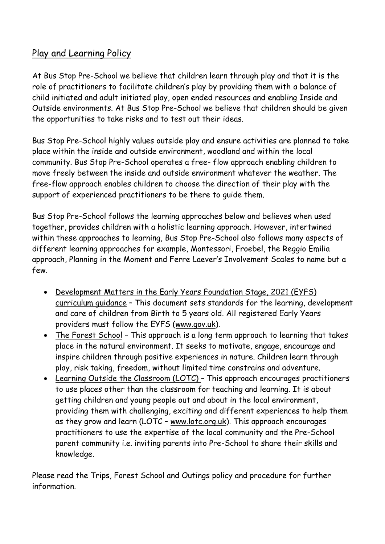# Play and Learning Policy

At Bus Stop Pre-School we believe that children learn through play and that it is the role of practitioners to facilitate children's play by providing them with a balance of child initiated and adult initiated play, open ended resources and enabling Inside and Outside environments. At Bus Stop Pre-School we believe that children should be given the opportunities to take risks and to test out their ideas.

Bus Stop Pre-School highly values outside play and ensure activities are planned to take place within the inside and outside environment, woodland and within the local community. Bus Stop Pre-School operates a free- flow approach enabling children to move freely between the inside and outside environment whatever the weather. The free-flow approach enables children to choose the direction of their play with the support of experienced practitioners to be there to guide them.

Bus Stop Pre-School follows the learning approaches below and believes when used together, provides children with a holistic learning approach. However, intertwined within these approaches to learning, Bus Stop Pre-School also follows many aspects of different learning approaches for example, Montessori, Froebel, the Reggio Emilia approach, Planning in the Moment and Ferre Laever's Involvement Scales to name but a few.

- Development Matters in the Early Years Foundation Stage, 2021 (EYFS) curriculum guidance – This document sets standards for the learning, development and care of children from Birth to 5 years old. All registered Early Years providers must follow the EYFS [\(www.gov.uk\)](http://www.gov.uk/).
- The Forest School This approach is a long term approach to learning that takes place in the natural environment. It seeks to motivate, engage, encourage and inspire children through positive experiences in nature. Children learn through play, risk taking, freedom, without limited time constrains and adventure.
- Learning Outside the Classroom (LOTC) This approach encourages practitioners to use places other than the classroom for teaching and learning. It is about getting children and young people out and about in the local environment, providing them with challenging, exciting and different experiences to help them as they grow and learn (LOTC – [www.lotc.org.uk\)](http://www.lotc.org.uk/). This approach encourages practitioners to use the expertise of the local community and the Pre-School parent community i.e. inviting parents into Pre-School to share their skills and knowledge.

Please read the Trips, Forest School and Outings policy and procedure for further information.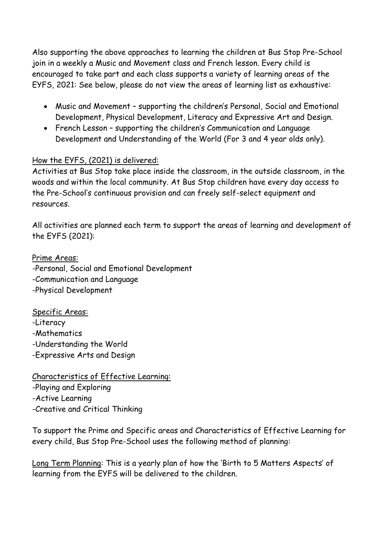Also supporting the above approaches to learning the children at Bus Stop Pre-School join in a weekly a Music and Movement class and French lesson. Every child is encouraged to take part and each class supports a variety of learning areas of the EYFS, 2021: See below, please do not view the areas of learning list as exhaustive:

- Music and Movement supporting the children's Personal, Social and Emotional Development, Physical Development, Literacy and Expressive Art and Design.
- French Lesson supporting the children's Communication and Language Development and Understanding of the World (For 3 and 4 year olds only).

### How the EYFS, (2021) is delivered:

Activities at Bus Stop take place inside the classroom, in the outside classroom, in the woods and within the local community. At Bus Stop children have every day access to the Pre-School's continuous provision and can freely self-select equipment and resources.

All activities are planned each term to support the areas of learning and development of the EYFS (2021):

Prime Areas: -Personal, Social and Emotional Development -Communication and Language -Physical Development

Specific Areas: -Literacy -Mathematics -Understanding the World -Expressive Arts and Design

Characteristics of Effective Learning: -Playing and Exploring -Active Learning -Creative and Critical Thinking

To support the Prime and Specific areas and Characteristics of Effective Learning for every child, Bus Stop Pre-School uses the following method of planning:

Long Term Planning: This is a yearly plan of how the 'Birth to 5 Matters Aspects' of learning from the EYFS will be delivered to the children.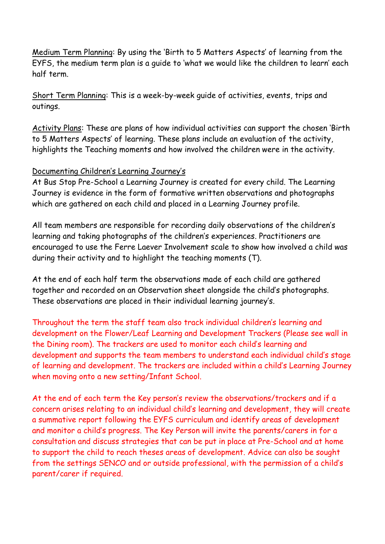Medium Term Planning: By using the 'Birth to 5 Matters Aspects' of learning from the EYFS, the medium term plan is a guide to 'what we would like the children to learn' each half term.

Short Term Planning: This is a week-by-week guide of activities, events, trips and outings.

Activity Plans: These are plans of how individual activities can support the chosen 'Birth to 5 Matters Aspects' of learning. These plans include an evaluation of the activity, highlights the Teaching moments and how involved the children were in the activity.

### Documenting Children's Learning Journey's

At Bus Stop Pre-School a Learning Journey is created for every child. The Learning Journey is evidence in the form of formative written observations and photographs which are gathered on each child and placed in a Learning Journey profile.

All team members are responsible for recording daily observations of the children's learning and taking photographs of the children's experiences. Practitioners are encouraged to use the Ferre Laever Involvement scale to show how involved a child was during their activity and to highlight the teaching moments (T).

At the end of each half term the observations made of each child are gathered together and recorded on an Observation sheet alongside the child's photographs. These observations are placed in their individual learning journey's.

Throughout the term the staff team also track individual children's learning and development on the Flower/Leaf Learning and Development Trackers (Please see wall in the Dining room). The trackers are used to monitor each child's learning and development and supports the team members to understand each individual child's stage of learning and development. The trackers are included within a child's Learning Journey when moving onto a new setting/Infant School.

At the end of each term the Key person's review the observations/trackers and if a concern arises relating to an individual child's learning and development, they will create a summative report following the EYFS curriculum and identify areas of development and monitor a child's progress. The Key Person will invite the parents/carers in for a consultation and discuss strategies that can be put in place at Pre-School and at home to support the child to reach theses areas of development. Advice can also be sought from the settings SENCO and or outside professional, with the permission of a child's parent/carer if required.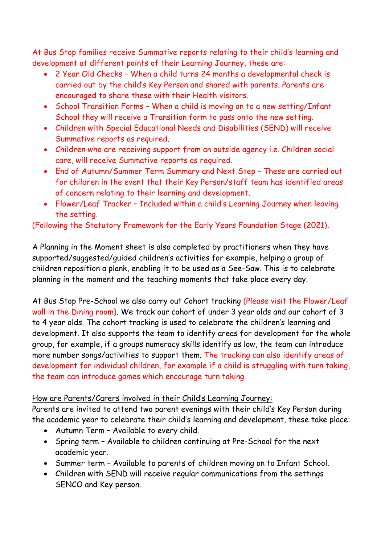At Bus Stop families receive Summative reports relating to their child's learning and development at different points of their Learning Journey, these are:

- 2 Year Old Checks When a child turns 24 months a developmental check is carried out by the child's Key Person and shared with parents. Parents are encouraged to share these with their Health visitors.
- School Transition Forms When a child is moving on to a new setting/Infant School they will receive a Transition form to pass onto the new setting.
- Children with Special Educational Needs and Disabilities (SEND) will receive Summative reports as required.
- Children who are receiving support from an outside agency i.e. Children social care, will receive Summative reports as required.
- End of Autumn/Summer Term Summary and Next Step These are carried out for children in the event that their Key Person/staff team has identified areas of concern relating to their learning and development.
- Flower/Leaf Tracker Included within a child's Learning Journey when leaving the setting.

# (Following the Statutory Framework for the Early Years Foundation Stage (2021).

A Planning in the Moment sheet is also completed by practitioners when they have supported/suggested/guided children's activities for example, helping a group of children reposition a plank, enabling it to be used as a See-Saw. This is to celebrate planning in the moment and the teaching moments that take place every day.

At Bus Stop Pre-School we also carry out Cohort tracking (Please visit the Flower/Leaf wall in the Dining room). We track our cohort of under 3 year olds and our cohort of 3 to 4 year olds. The cohort tracking is used to celebrate the children's learning and development. It also supports the team to identify areas for development for the whole group, for example, if a groups numeracy skills identify as low, the team can introduce more number songs/activities to support them. The tracking can also identify areas of development for individual children, for example if a child is struggling with turn taking, the team can introduce games which encourage turn taking.

# How are Parents/Carers involved in their Child's Learning Journey:

Parents are invited to attend two parent evenings with their child's Key Person during the academic year to celebrate their child's learning and development, these take place:

- Autumn Term Available to every child.
- Spring term Available to children continuing at Pre-School for the next academic year.
- Summer term Available to parents of children moving on to Infant School.
- Children with SEND will receive regular communications from the settings SENCO and Key person.